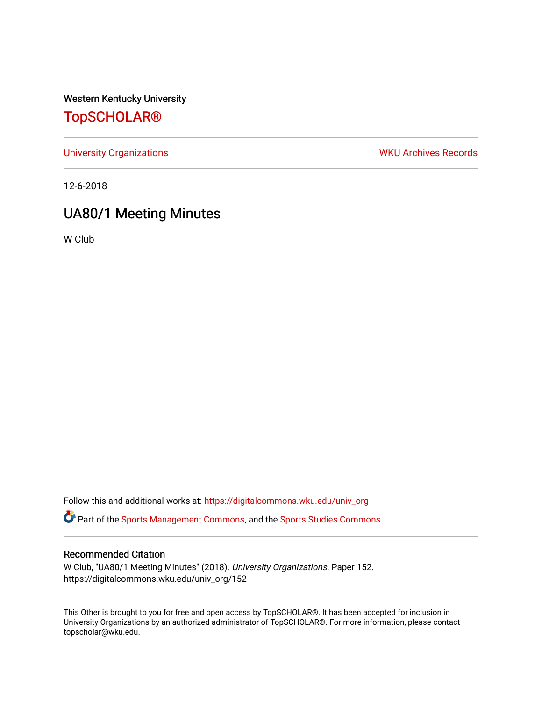Western Kentucky University

# [TopSCHOLAR®](https://digitalcommons.wku.edu/)

[University Organizations](https://digitalcommons.wku.edu/univ_org) **WKU Archives Records** 

12-6-2018

# UA80/1 Meeting Minutes

W Club

Follow this and additional works at: [https://digitalcommons.wku.edu/univ\\_org](https://digitalcommons.wku.edu/univ_org?utm_source=digitalcommons.wku.edu%2Funiv_org%2F152&utm_medium=PDF&utm_campaign=PDFCoverPages) 

**C** Part of the [Sports Management Commons](http://network.bepress.com/hgg/discipline/1193?utm_source=digitalcommons.wku.edu%2Funiv_org%2F152&utm_medium=PDF&utm_campaign=PDFCoverPages), and the [Sports Studies Commons](http://network.bepress.com/hgg/discipline/1198?utm_source=digitalcommons.wku.edu%2Funiv_org%2F152&utm_medium=PDF&utm_campaign=PDFCoverPages)

### Recommended Citation

W Club, "UA80/1 Meeting Minutes" (2018). University Organizations. Paper 152. https://digitalcommons.wku.edu/univ\_org/152

This Other is brought to you for free and open access by TopSCHOLAR®. It has been accepted for inclusion in University Organizations by an authorized administrator of TopSCHOLAR®. For more information, please contact topscholar@wku.edu.